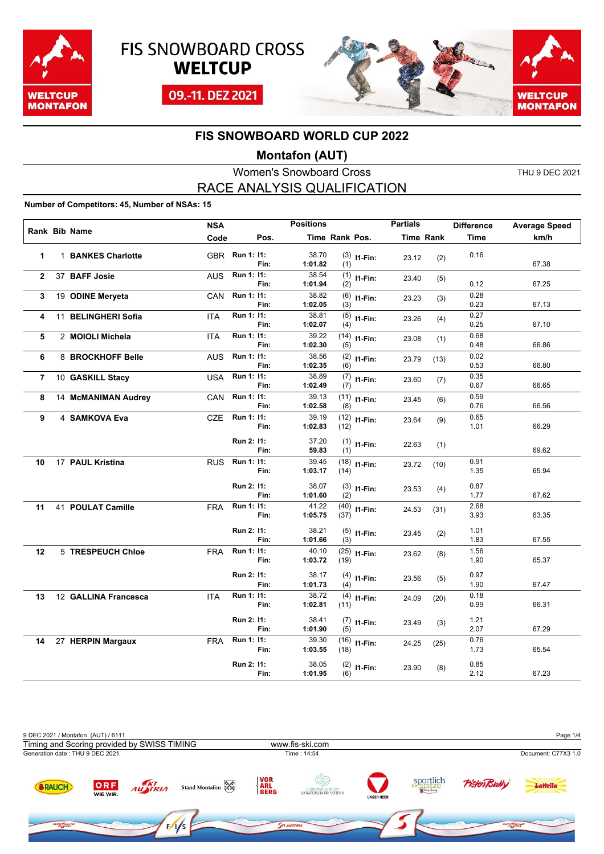





#### **Montafon (AUT)**

Women's Snowboard Cross THU 9 DEC 2021 RACE ANALYSIS QUALIFICATION

#### **Number of Competitors: 45, Number of NSAs: 15**

|                |                      | <b>NSA</b> |                |      | <b>Positions</b> |                |                | <b>Partials</b> |                  | <b>Difference</b> | <b>Average Speed</b> |
|----------------|----------------------|------------|----------------|------|------------------|----------------|----------------|-----------------|------------------|-------------------|----------------------|
|                | Rank Bib Name        | Code       |                | Pos. |                  | Time Rank Pos. |                |                 | <b>Time Rank</b> | Time              | km/h                 |
| 1              | 1 BANKES Charlotte   |            | GBR Run 1: 11: | Fin: | 38.70<br>1:01.82 | (1)            | $(3)$ 11-Fin:  | 23.12           | (2)              | 0.16              | 67.38                |
| $\overline{2}$ | 37 BAFF Josie        | AUS.       | Run 1: 11:     | Fin: | 38.54<br>1:01.94 | (1)<br>(2)     | $11-Fin:$      | 23.40           | (5)              | 0.12              | 67.25                |
| 3              | 19 ODINE Meryeta     | <b>CAN</b> | Run 1: 11:     | Fin: | 38.82<br>1:02.05 | (3)            | $(6)$ 11-Fin:  | 23.23           | (3)              | 0.28<br>0.23      | 67.13                |
| 4              | 11 BELINGHERI Sofia  | <b>ITA</b> | Run 1: 11:     | Fin: | 38.81<br>1:02.07 | (4)            | $(5)$ 11-Fin:  | 23.26           | (4)              | 0.27<br>0.25      | 67.10                |
| 5              | 2 MOIOLI Michela     | <b>ITA</b> | Run 1: 11:     | Fin: | 39.22<br>1:02.30 | (5)            | $(14)$ 11-Fin: | 23.08           | (1)              | 0.68<br>0.48      | 66.86                |
| 6              | 8 BROCKHOFF Belle    | <b>AUS</b> | Run 1: 11:     | Fin: | 38.56<br>1:02.35 | (6)            | $(2)$ 11-Fin:  | 23.79           | (13)             | 0.02<br>0.53      | 66.80                |
| $\overline{7}$ | 10 GASKILL Stacy     | <b>USA</b> | Run 1: 11:     | Fin: | 38.89<br>1:02.49 | (7)            | $(7)$ 11-Fin:  | 23.60           | (7)              | 0.35<br>0.67      | 66.65                |
| 8              | 14 McMANIMAN Audrey  | CAN        | Run 1: 11:     | Fin: | 39.13<br>1:02.58 | (8)            | $(11)$ I1-Fin: | 23.45           | (6)              | 0.59<br>0.76      | 66.56                |
| 9              | 4 SAMKOVA Eva        | CZE        | Run 1: 11:     | Fin: | 39.19<br>1:02.83 | (12)           | $(12)$ 11-Fin: | 23.64           | (9)              | 0.65<br>1.01      | 66.29                |
|                |                      |            | Run 2: 11:     | Fin: | 37.20<br>59.83   | (1)            | $(1)$ 11-Fin:  | 22.63           | (1)              |                   | 69.62                |
| 10             | 17 PAUL Kristina     | <b>RUS</b> | Run 1: 11:     | Fin: | 39.45<br>1:03.17 | (14)           | $(18)$ 11-Fin: | 23.72           | (10)             | 0.91<br>1.35      | 65.94                |
|                |                      |            | Run 2: 11:     | Fin: | 38.07<br>1:01.60 | (2)            | $(3)$ 11-Fin:  | 23.53           | (4)              | 0.87<br>1.77      | 67.62                |
| 11             | 41 POULAT Camille    | <b>FRA</b> | Run 1: 11:     | Fin: | 41.22<br>1:05.75 | (37)           | $(40)$ 11-Fin: | 24.53           | (31)             | 2.68<br>3.93      | 63.35                |
|                |                      |            | Run 2: 11:     | Fin: | 38.21<br>1:01.66 | (3)            | $(5)$ 11-Fin:  | 23.45           | (2)              | 1.01<br>1.83      | 67.55                |
| 12             | 5 TRESPEUCH Chloe    | <b>FRA</b> | Run 1: 11:     | Fin: | 40.10<br>1:03.72 | (19)           | $(25)$ 11-Fin: | 23.62           | (8)              | 1.56<br>1.90      | 65.37                |
|                |                      |            | Run 2: 11:     | Fin: | 38.17<br>1:01.73 | (4)            | $(4)$ 11-Fin:  | 23.56           | (5)              | 0.97<br>1.90      | 67.47                |
| 13             | 12 GALLINA Francesca | <b>ITA</b> | Run 1: 11:     | Fin: | 38.72<br>1:02.81 | (11)           | $(4)$ 11-Fin:  | 24.09           | (20)             | 0.18<br>0.99      | 66.31                |
|                |                      |            | Run 2: 11:     | Fin: | 38.41<br>1:01.90 | (5)            | $(7)$ 11-Fin:  | 23.49           | (3)              | 1.21<br>2.07      | 67.29                |
| 14             | 27 HERPIN Margaux    | <b>FRA</b> | Run 1: 11:     | Fin: | 39.30<br>1:03.55 | (18)           | $(16)$ 11-Fin: | 24.25           | (25)             | 0.76<br>1.73      | 65.54                |
|                |                      |            | Run 2: 11:     | Fin: | 38.05<br>1:01.95 | (6)            | $(2)$ 11-Fin:  | 23.90           | (8)              | 0.85<br>2.12      | 67.23                |

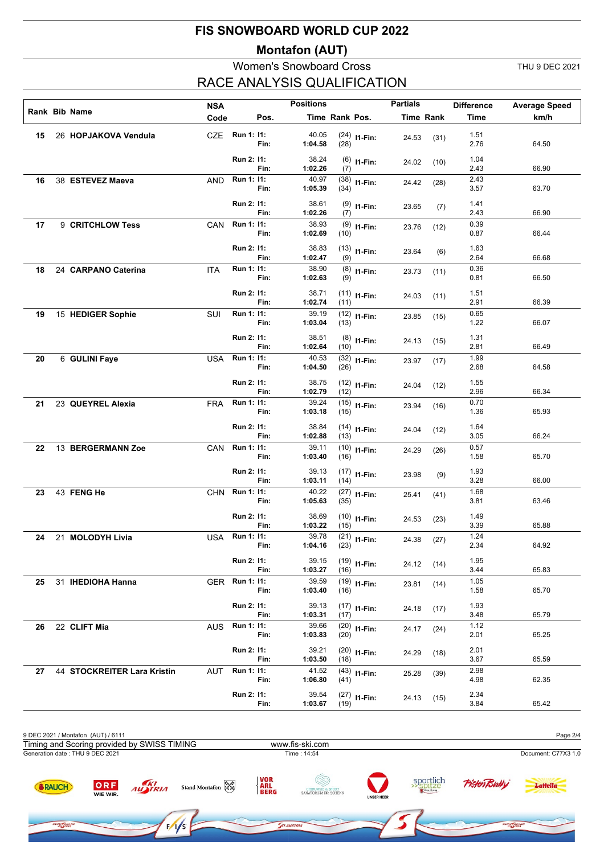### **Montafon (AUT)**

### Women's Snowboard Cross THU 9 DEC 2021 RACE ANALYSIS QUALIFICATION

**OWEROA** 

|    |                             | <b>NSA</b> |                          |      | <b>Positions</b>          |                |                           | <b>Partials</b> |                  | <b>Difference</b>    | <b>Average Speed</b> |
|----|-----------------------------|------------|--------------------------|------|---------------------------|----------------|---------------------------|-----------------|------------------|----------------------|----------------------|
|    | Rank Bib Name               | Code       |                          | Pos. |                           | Time Rank Pos. |                           |                 | <b>Time Rank</b> | <b>Time</b>          | km/h                 |
| 15 | 26 HOPJAKOVA Vendula        | CZE        | Run 1: 11:               | Fin: | 40.05<br>1:04.58          | (28)           | $(24)$ 11-Fin:            | 24.53           | (31)             | 1.51<br>2.76         | 64.50                |
|    |                             |            | Run 2: 11:               | Fin: | 38.24<br>1:02.26          | (7)            | $(6)$ 11-Fin:             | 24.02           | (10)             | 1.04<br>2.43         | 66.90                |
| 16 | 38 ESTEVEZ Maeva            | AND        | Run 1: 11:               | Fin: | 40.97<br>1:05.39          | (34)           | $(38)$ 11-Fin:            | 24.42           | (28)             | 2.43<br>3.57         | 63.70                |
|    |                             |            | Run 2: 11:               | Fin: | 38.61<br>1:02.26          | (7)            | $(9)$ 11-Fin:             | 23.65           | (7)              | 1.41<br>2.43         | 66.90                |
| 17 | 9 CRITCHLOW Tess            | CAN        | Run 1: 11:               | Fin: | 38.93<br>1:02.69          | (10)           | $(9)$ 11-Fin:             | 23.76           | (12)             | 0.39<br>0.87         | 66.44                |
|    |                             |            | Run 2: 11:               | Fin: | 38.83<br>1:02.47          | (9)            | $(13)$ 11-Fin:            | 23.64           | (6)              | 1.63<br>2.64         | 66.68                |
| 18 | 24 CARPANO Caterina         | ITA        | Run 1: 11:               | Fin: | 38.90<br>1:02.63          | (9)            | $(8)$ 11-Fin:             | 23.73           | (11)             | 0.36<br>0.81         | 66.50                |
|    |                             |            | Run 2: 11:               | Fin: | 38.71<br>1:02.74          | (11)           | $(11)$ I1-Fin:            | 24.03           | (11)             | 1.51<br>2.91         | 66.39                |
| 19 | 15 HEDIGER Sophie           | <b>SUI</b> | Run 1: 11:               | Fin: | 39.19<br>1:03.04          | (13)           | $(12)$ <sub>11-Fin:</sub> | 23.85           | (15)             | 0.65<br>1.22         | 66.07                |
|    |                             |            | Run 2: 11:               | Fin: | 38.51<br>1:02.64          | (10)           | $(8)$ 11-Fin:             | 24.13           | (15)             | 1.31<br>2.81         | 66.49                |
| 20 | 6 GULINI Faye               | <b>USA</b> | Run 1: 11:               | Fin: | 40.53<br>1:04.50          | (26)           | $(32)$ 11-Fin:            | 23.97           | (17)             | 1.99<br>2.68         | 64.58                |
|    |                             |            | Run 2: 11:               | Fin: | 38.75<br>1:02.79          | (12)           | $(12)$ 11-Fin:            | 24.04           | (12)             | 1.55<br>2.96         | 66.34                |
| 21 | 23 QUEYREL Alexia           | <b>FRA</b> | Run 1: 11:               | Fin: | 39.24<br>1:03.18          | (15)           | $(15)$ 11-Fin:            | 23.94           | (16)             | 0.70<br>1.36         | 65.93                |
|    |                             |            | Run 2: 11:               | Fin: | 38.84<br>1:02.88          | (13)           | $(14)$ 11-Fin:            | 24.04           | (12)             | 1.64<br>3.05         | 66.24                |
| 22 | 13 BERGERMANN Zoe           | CAN        | Run 1: 11:               | Fin: | 39.11<br>1:03.40          | (16)           | $(10)$ 11-Fin:            | 24.29           | (26)             | 0.57<br>1.58         | 65.70                |
|    |                             |            | Run 2: 11:               | Fin: | 39.13<br>1:03.11          | (14)           | $(17)$ 11-Fin:            | 23.98           | (9)              | 1.93<br>3.28         | 66.00                |
| 23 | 43 FENG He                  | <b>CHN</b> | Run 1: 11:               | Fin: | 40.22<br>1:05.63          | (35)           | $(27)$ 11-Fin:            | 25.41           | (41)             | 1.68<br>3.81         | 63.46                |
|    |                             |            | Run 2: 11:               | Fin: | 38.69<br>1:03.22<br>39.78 | (15)           | $(10)$ 11-Fin:            | 24.53           | (23)             | 1.49<br>3.39<br>1.24 | 65.88                |
| 24 | 21 MOLODYH Livia            |            | USA Run 1: 11:           | Fin: | 1:04.16                   | (23)           | $(21)$ I1-Fin:            | 24.38           | (27)             | 2.34                 | 64.92                |
|    |                             |            | Run 2: 11:               | Fin: | 39.15<br>1:03.27          | (16)           | $(19)$ 11-Fin:            | 24.12           | (14)             | 1.95<br>3.44         | 65.83                |
| 25 | 31 IHEDIOHA Hanna           | <b>GER</b> | <b>Run 1: 11:</b>        | Fin: | 39.59<br>1:03.40          | (16)           | $(19)$ 11-Fin:            | 23.81           | (14)             | 1.05<br>1.58         | 65.70                |
|    |                             |            | Run 2: 11:<br>Run 1: 11: | Fin: | 39.13<br>1:03.31          | (17)           | $(17)$ 11-Fin:            | 24.18           | (17)             | 1.93<br>3.48         | 65.79                |
| 26 | 22 CLIFT Mia                | AUS        |                          | Fin: | 39.66<br>1:03.83          | (20)           | $(20)$ 11-Fin:            | 24.17           | (24)             | 1.12<br>2.01         | 65.25                |
|    |                             |            | Run 2: 11:<br>Run 1: 11: | Fin: | 39.21<br>1:03.50<br>41.52 | (18)           | $(20)$ 11-Fin:            | 24.29           | (18)             | 2.01<br>3.67<br>2.98 | 65.59                |
| 27 | 44 STOCKREITER Lara Kristin | AUT        |                          | Fin: | 1:06.80                   | (41)           | $(43)$ 11-Fin:            | 25.28           | (39)             | 4.98                 | 62.35                |
|    |                             |            | Run 2: 11:               | Fin: | 39.54<br>1:03.67          | (19)           | $(27)$ 11-Fin:            | 24.13           | (15)             | 2.34<br>3.84         | 65.42                |



ow Google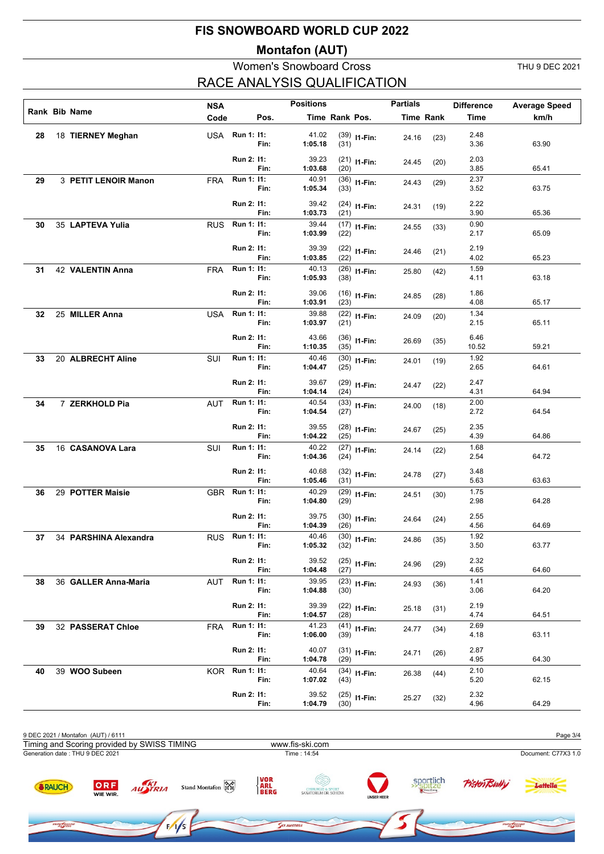### **Montafon (AUT)**

### Women's Snowboard Cross THU 9 DEC 2021 RACE ANALYSIS QUALIFICATION

|    |                       | <b>NSA</b> |                              |      | <b>Positions</b>          |                |                | <b>Partials</b> |                  | <b>Difference</b>    | <b>Average Speed</b> |
|----|-----------------------|------------|------------------------------|------|---------------------------|----------------|----------------|-----------------|------------------|----------------------|----------------------|
|    | Rank Bib Name         | Code       |                              | Pos. |                           | Time Rank Pos. |                |                 | <b>Time Rank</b> | <b>Time</b>          | km/h                 |
| 28 | 18 TIERNEY Meghan     |            | USA Run 1: 11:               | Fin: | 41.02<br>1:05.18          | (31)           | $(39)$ 11-Fin: | 24.16           | (23)             | 2.48<br>3.36         | 63.90                |
|    |                       |            | Run 2: 11:                   | Fin: | 39.23<br>1:03.68          | (20)           | $(21)$ 11-Fin: | 24.45           | (20)             | 2.03<br>3.85         | 65.41                |
| 29 | 3 PETIT LENOIR Manon  | <b>FRA</b> | Run 1: 11:                   | Fin: | 40.91<br>1:05.34          | (33)           | $(36)$ 11-Fin: | 24.43           | (29)             | 2.37<br>3.52         | 63.75                |
|    |                       |            | Run 2: 11:                   | Fin: | 39.42<br>1:03.73          | (21)           | $(24)$ 11-Fin: | 24.31           | (19)             | 2.22<br>3.90         | 65.36                |
| 30 | 35 LAPTEVA Yulia      | <b>RUS</b> | Run 1: 11:                   | Fin: | 39.44<br>1:03.99          | (22)           | $(17)$ I1-Fin: | 24.55           | (33)             | 0.90<br>2.17         | 65.09                |
|    |                       |            | Run 2: 11:                   | Fin: | 39.39<br>1:03.85          | (22)           | $(22)$ 11-Fin: | 24.46           | (21)             | 2.19<br>4.02         | 65.23                |
| 31 | 42 VALENTIN Anna      | <b>FRA</b> | Run 1: 11:                   | Fin: | 40.13<br>1:05.93          | (38)           | $(26)$ 11-Fin: | 25.80           | (42)             | 1.59<br>4.11         | 63.18                |
|    |                       |            | Run 2: 11:                   | Fin: | 39.06<br>1:03.91          | (23)           | $(16)$ 11-Fin: | 24.85           | (28)             | 1.86<br>4.08         | 65.17                |
| 32 | 25 MILLER Anna        | <b>USA</b> | Run 1: 11:                   | Fin: | 39.88<br>1:03.97          | (21)           | $(22)$ 11-Fin: | 24.09           | (20)             | 1.34<br>2.15         | 65.11                |
|    |                       |            | Run 2: 11:                   | Fin: | 43.66<br>1:10.35          | (35)           | $(36)$ 11-Fin: | 26.69           | (35)             | 6.46<br>10.52        | 59.21                |
| 33 | 20 ALBRECHT Aline     | <b>SUI</b> | Run 1: 11:                   | Fin: | 40.46<br>1:04.47          | (25)           | $(30)$ 11-Fin: | 24.01           | (19)             | 1.92<br>2.65         | 64.61                |
|    |                       |            | Run 2: 11:<br>Run 1: 11:     | Fin: | 39.67<br>1:04.14          | (24)           | $(29)$ 11-Fin: | 24.47           | (22)             | 2.47<br>4.31         | 64.94                |
| 34 | 7 ZERKHOLD Pia        | AUT        |                              | Fin: | 40.54<br>1:04.54          | (27)           | $(33)$ 11-Fin: | 24.00           | (18)             | 2.00<br>2.72         | 64.54                |
|    |                       |            | Run 2: 11:<br>Run 1: 11:     | Fin: | 39.55<br>1:04.22<br>40.22 | (25)           | $(28)$ 11-Fin: | 24.67           | (25)             | 2.35<br>4.39<br>1.68 | 64.86                |
| 35 | 16 CASANOVA Lara      | SUI        |                              | Fin: | 1:04.36                   | (24)           | $(27)$ 11-Fin: | 24.14           | (22)             | 2.54                 | 64.72                |
|    |                       |            | Run 2: 11:<br>Run 1: 11:     | Fin: | 40.68<br>1:05.46<br>40.29 | (31)           | $(32)$ 11-Fin: | 24.78           | (27)             | 3.48<br>5.63<br>1.75 | 63.63                |
| 36 | 29 POTTER Maisie      | <b>GBR</b> |                              | Fin: | 1:04.80                   | (29)           | $(29)$ 11-Fin: | 24.51           | (30)             | 2.98                 | 64.28                |
|    |                       |            | Run 2: 11:<br>RUS Run 1: 11: | Fin: | 39.75<br>1:04.39<br>40.46 | (26)           | $(30)$ 11-Fin: | 24.64           | (24)             | 2.55<br>4.56<br>1.92 | 64.69                |
| 37 | 34 PARSHINA Alexandra |            |                              | Fin: | 1:05.32                   | (32)           | $(30)$ I1-Fin: | 24.86           | (35)             | 3.50                 | 63.77                |
|    |                       |            | Run 2: 11:<br>Run 1: 11:     | Fin: | 39.52<br>1:04.48<br>39.95 | (27)           | $(25)$ 11-Fin: | 24.96           | (29)             | 2.32<br>4.65<br>1.41 | 64.60                |
| 38 | 36 GALLER Anna-Maria  | AUT        |                              | Fin: | 1:04.88                   | (30)           | $(23)$ 11-Fin: | 24.93           | (36)             | 3.06                 | 64.20                |
|    |                       |            | Run 2: 11:<br>Run 1: 11:     | Fin: | 39.39<br>1:04.57<br>41.23 | (28)           | $(22)$ 11-Fin: | 25.18           | (31)             | 2.19<br>4.74<br>2.69 | 64.51                |
| 39 | 32 PASSERAT Chloe     | FRA        |                              | Fin: | 1:06.00                   | (39)           | $(41)$ 11-Fin: | 24.77           | (34)             | 4.18                 | 63.11                |
|    |                       |            | Run 2: 11:<br>Run 1: 11:     | Fin: | 40.07<br>1:04.78<br>40.64 | (29)           | $(31)$ 11-Fin: | 24.71           | (26)             | 2.87<br>4.95<br>2.10 | 64.30                |
| 40 | 39 WOO Subeen         | KOR.       |                              | Fin: | 1:07.02                   | (43)           | $(34)$ 11-Fin: | 26.38           | (44)             | 5.20                 | 62.15                |
|    |                       |            | Run 2: 11:                   | Fin: | 39.52<br>1:04.79          | (30)           | $(25)$ 11-Fin: | 25.27           | (32)             | 2.32<br>4.96         | 64.29                |

| 9 DEC 2021 / Montafon (AUT) / 6111          |                 |         |                   |                                   |                                                        |                   |                        |                     | Page 3/4            |
|---------------------------------------------|-----------------|---------|-------------------|-----------------------------------|--------------------------------------------------------|-------------------|------------------------|---------------------|---------------------|
| Timing and Scoring provided by SWISS TIMING |                 |         |                   |                                   | www.fis-ski.com                                        |                   |                        |                     |                     |
| Generation date: THU 9 DEC 2021             |                 |         |                   |                                   | Time: 14:54                                            |                   |                        |                     | Document: C77X3 1.0 |
| RAUCH                                       | ORF<br>WIE WIR. | AUSTRIA | Stand Montafon Ra | <b>VOR</b><br><b>ARL<br/>BERG</b> | <b>CHIRURGIE &amp; SPORT<br/>SANATORIUM DR. SCHENK</b> | <b>UNSER HEER</b> | sportlich<br>>> spitze | <b>Pisten Bully</b> | Lattella            |
| SNOW ROARD                                  |                 |         | 1/s               |                                   | <b>KI AUSTRIA</b>                                      |                   |                        | SNOW BOARD          |                     |

YK